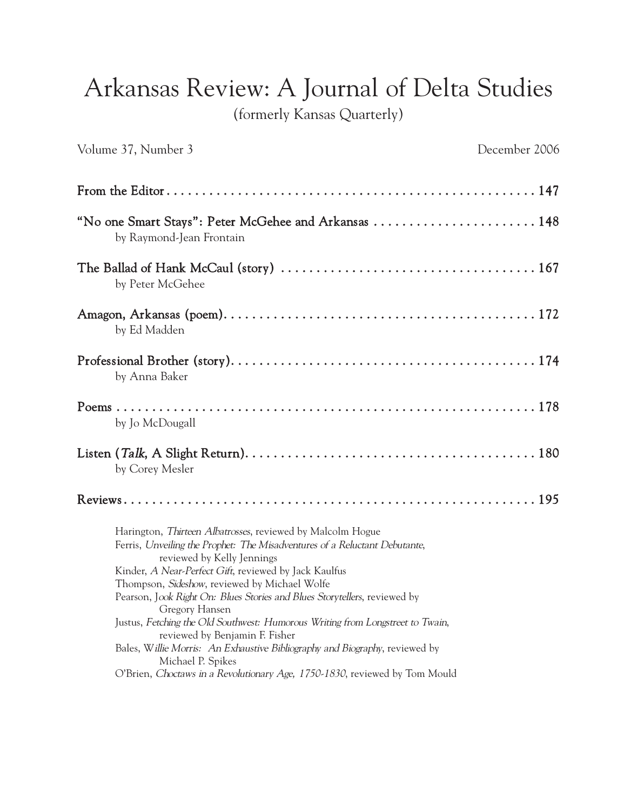## Arkansas Review: A Journal of Delta Studies

(formerly Kansas Quarterly)

| Volume 37, Number 3                                                                                                                                                                                                                                                                                                                                                                                                                                                                                                                                                                                     | December 2006 |
|---------------------------------------------------------------------------------------------------------------------------------------------------------------------------------------------------------------------------------------------------------------------------------------------------------------------------------------------------------------------------------------------------------------------------------------------------------------------------------------------------------------------------------------------------------------------------------------------------------|---------------|
|                                                                                                                                                                                                                                                                                                                                                                                                                                                                                                                                                                                                         |               |
| "No one Smart Stays": Peter McGehee and Arkansas  148<br>by Raymond-Jean Frontain                                                                                                                                                                                                                                                                                                                                                                                                                                                                                                                       |               |
| by Peter McGehee                                                                                                                                                                                                                                                                                                                                                                                                                                                                                                                                                                                        |               |
| by Ed Madden                                                                                                                                                                                                                                                                                                                                                                                                                                                                                                                                                                                            |               |
| by Anna Baker                                                                                                                                                                                                                                                                                                                                                                                                                                                                                                                                                                                           |               |
| by Jo McDougall                                                                                                                                                                                                                                                                                                                                                                                                                                                                                                                                                                                         |               |
| by Corey Mesler                                                                                                                                                                                                                                                                                                                                                                                                                                                                                                                                                                                         |               |
|                                                                                                                                                                                                                                                                                                                                                                                                                                                                                                                                                                                                         |               |
| Harington, Thirteen Albatrosses, reviewed by Malcolm Hogue<br>Ferris, Unveiling the Prophet: The Misadventures of a Reluctant Debutante,<br>reviewed by Kelly Jennings<br>Kinder, A Near-Perfect Gift, reviewed by Jack Kaulfus<br>Thompson, Sideshow, reviewed by Michael Wolfe<br>Pearson, Jook Right On: Blues Stories and Blues Storytellers, reviewed by<br>Gregory Hansen<br>Justus, Fetching the Old Southwest: Humorous Writing from Longstreet to Twain,<br>reviewed by Benjamin F. Fisher<br>Bales, Willie Morris: An Exhaustive Bibliography and Biography, reviewed by<br>Michael P. Spikes |               |
| O'Brien, Choctaws in a Revolutionary Age, 1750-1830, reviewed by Tom Mould                                                                                                                                                                                                                                                                                                                                                                                                                                                                                                                              |               |